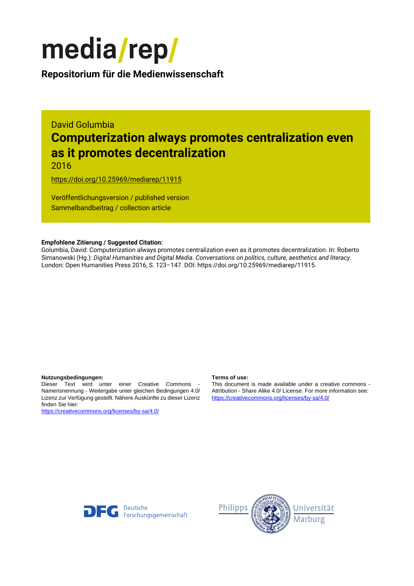

**Repositorium für die [Medienwissenschaft](https://mediarep.org)**

# David Golumbia **Computerization always promotes centralization even as it promotes decentralization**

2016

<https://doi.org/10.25969/mediarep/11915>

Veröffentlichungsversion / published version Sammelbandbeitrag / collection article

### **Empfohlene Zitierung / Suggested Citation:**

Golumbia, David: Computerization always promotes centralization even as it promotes decentralization. In: Roberto Simanowski (Hg.): *Digital Humanities and Digital Media. Conversations on politics, culture, aesthetics and literacy.* London: Open Humanities Press 2016, S. 123–147. DOI: https://doi.org/10.25969/mediarep/11915.

### **Nutzungsbedingungen: Terms of use:**

Dieser Text wird unter einer Creative Commons - Namensnennung - Weitergabe unter gleichen Bedingungen 4.0/ Lizenz zur Verfügung gestellt. Nähere Auskünfte zu dieser Lizenz finden Sie hier:

<https://creativecommons.org/licenses/by-sa/4.0/>

This document is made available under a creative commons - Attribution - Share Alike 4.0/ License. For more information see: <https://creativecommons.org/licenses/by-sa/4.0/>



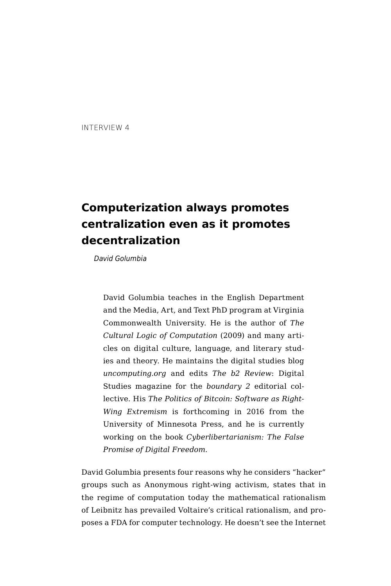INTERVIEW 4

# **Computerization always promotes centralization even as it promotes decentralization**

*David Golumbia*

David Golumbia teaches in the English Department and the Media, Art, and Text PhD program at Virginia Commonwealth University. He is the author of *The Cultural Logic of Computation* (2009) and many articles on digital culture, language, and literary studies and theory. He maintains the digital studies blog *uncomputing.org* and edits *The b2 Review*: Digital Studies magazine for the *boundary 2* editorial collective. His *The Politics of Bitcoin: Software as Right-Wing Extremism* is forthcoming in 2016 from the University of Minnesota Press, and he is currently working on the book *Cyberlibertarianism: The False Promise of Digital Freedom*.

David Golumbia presents four reasons why he considers "hacker" groups such as Anonymous right-wing activism, states that in the regime of computation today the mathematical rationalism of Leibnitz has prevailed Voltaire's critical rationalism, and proposes a FDA for computer technology. He doesn't see the Internet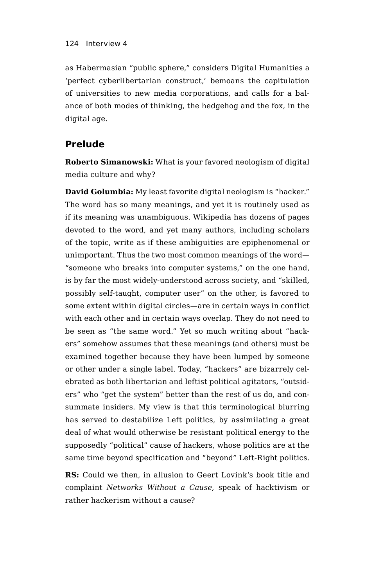as Habermasian "public sphere," considers Digital Humanities a 'perfect cyberlibertarian construct,' bemoans the capitulation of universities to new media corporations, and calls for a balance of both modes of thinking, the hedgehog and the fox, in the digital age.

# **Prelude**

**Roberto Simanowski:** What is your favored neologism of digital media culture and why?

**David Golumbia:** My least favorite digital neologism is "hacker." The word has so many meanings, and yet it is routinely used as if its meaning was unambiguous. Wikipedia has dozens of pages devoted to the word, and yet many authors, including scholars of the topic, write as if these ambiguities are epiphenomenal or unimportant. Thus the two most common meanings of the word— "someone who breaks into computer systems," on the one hand, is by far the most widely-understood across society, and "skilled, possibly self-taught, computer user" on the other, is favored to some extent within digital circles—are in certain ways in conflict with each other and in certain ways overlap. They do not need to be seen as "the same word." Yet so much writing about "hackers" somehow assumes that these meanings (and others) must be examined together because they have been lumped by someone or other under a single label. Today, "hackers" are bizarrely celebrated as both libertarian and leftist political agitators, "outsiders" who "get the system" better than the rest of us do, and consummate insiders. My view is that this terminological blurring has served to destabilize Left politics, by assimilating a great deal of what would otherwise be resistant political energy to the supposedly "political" cause of hackers, whose politics are at the same time beyond specification and "beyond" Left-Right politics.

**RS:** Could we then, in allusion to Geert Lovink's book title and complaint *Networks Without a Cause*, speak of hacktivism or rather hackerism without a cause?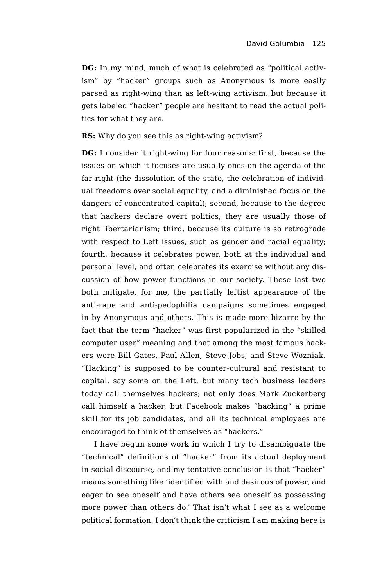**DG:** In my mind, much of what is celebrated as "political activism" by "hacker" groups such as Anonymous is more easily parsed as right-wing than as left-wing activism, but because it gets labeled "hacker" people are hesitant to read the actual politics for what they are.

**RS:** Why do you see this as right-wing activism?

**DG:** I consider it right-wing for four reasons: first, because the issues on which it focuses are usually ones on the agenda of the far right (the dissolution of the state, the celebration of individual freedoms over social equality, and a diminished focus on the dangers of concentrated capital); second, because to the degree that hackers declare overt politics, they are usually those of right libertarianism; third, because its culture is so retrograde with respect to Left issues, such as gender and racial equality; fourth, because it celebrates power, both at the individual and personal level, and often celebrates its exercise without any discussion of how power functions in our society. These last two both mitigate, for me, the partially leftist appearance of the anti-rape and anti-pedophilia campaigns sometimes engaged in by Anonymous and others. This is made more bizarre by the fact that the term "hacker" was first popularized in the "skilled computer user" meaning and that among the most famous hackers were Bill Gates, Paul Allen, Steve Jobs, and Steve Wozniak. "Hacking" is supposed to be counter-cultural and resistant to capital, say some on the Left, but many tech business leaders today call themselves hackers; not only does Mark Zuckerberg call himself a hacker, but Facebook makes "hacking" a prime skill for its job candidates, and all its technical employees are encouraged to think of themselves as "hackers."

I have begun some work in which I try to disambiguate the "technical" definitions of "hacker" from its actual deployment in social discourse, and my tentative conclusion is that "hacker" means something like 'identified with and desirous of power, and eager to see oneself and have others see oneself as possessing more power than others do.' That isn't what I see as a welcome political formation. I don't think the criticism I am making here is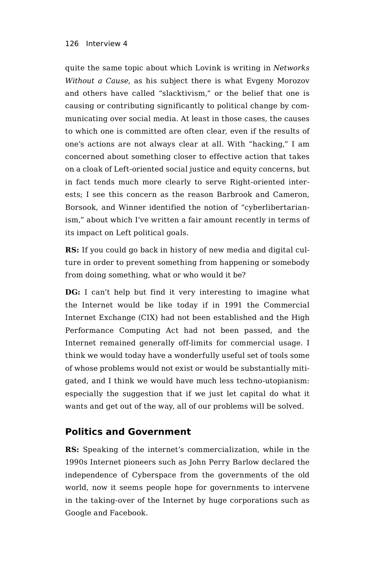quite the same topic about which Lovink is writing in *Networks Without a Cause*, as his subject there is what Evgeny Morozov and others have called "slacktivism," or the belief that one is causing or contributing significantly to political change by communicating over social media. At least in those cases, the causes to which one is committed are often clear, even if the results of one's actions are not always clear at all. With "hacking," I am concerned about something closer to effective action that takes on a cloak of Left-oriented social justice and equity concerns, but in fact tends much more clearly to serve Right-oriented interests; I see this concern as the reason Barbrook and Cameron, Borsook, and Winner identified the notion of "cyberlibertarianism," about which I've written a fair amount recently in terms of its impact on Left political goals.

**RS:** If you could go back in history of new media and digital culture in order to prevent something from happening or somebody from doing something, what or who would it be?

**DG:** I can't help but find it very interesting to imagine what the Internet would be like today if in 1991 the Commercial Internet Exchange (CIX) had not been established and the High Performance Computing Act had not been passed, and the Internet remained generally off-limits for commercial usage. I think we would today have a wonderfully useful set of tools some of whose problems would not exist or would be substantially mitigated, and I think we would have much less techno-utopianism: especially the suggestion that if we just let capital do what it wants and get out of the way, all of our problems will be solved.

# **Politics and Government**

**RS:** Speaking of the internet's commercialization, while in the 1990s Internet pioneers such as John Perry Barlow declared the independence of Cyberspace from the governments of the old world, now it seems people hope for governments to intervene in the taking-over of the Internet by huge corporations such as Google and Facebook.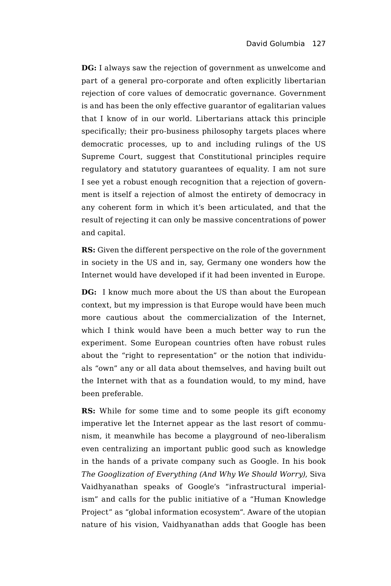**DG:** I always saw the rejection of government as unwelcome and part of a general pro-corporate and often explicitly libertarian rejection of core values of democratic governance. Government is and has been the only effective guarantor of egalitarian values that I know of in our world. Libertarians attack this principle specifically; their pro-business philosophy targets places where democratic processes, up to and including rulings of the US Supreme Court, suggest that Constitutional principles require regulatory and statutory guarantees of equality. I am not sure I see yet a robust enough recognition that a rejection of government is itself a rejection of almost the entirety of democracy in any coherent form in which it's been articulated, and that the result of rejecting it can only be massive concentrations of power and capital.

**RS:** Given the different perspective on the role of the government in society in the US and in, say, Germany one wonders how the Internet would have developed if it had been invented in Europe.

**DG:** I know much more about the US than about the European context, but my impression is that Europe would have been much more cautious about the commercialization of the Internet, which I think would have been a much better way to run the experiment. Some European countries often have robust rules about the "right to representation" or the notion that individuals "own" any or all data about themselves, and having built out the Internet with that as a foundation would, to my mind, have been preferable.

**RS:** While for some time and to some people its gift economy imperative let the Internet appear as the last resort of communism, it meanwhile has become a playground of neo-liberalism even centralizing an important public good such as knowledge in the hands of a private company such as Google. In his book *The Googlization of Everything (And Why We Should Worry)*, Siva Vaidhyanathan speaks of Google's "infrastructural imperialism" and calls for the public initiative of a "Human Knowledge Project" as "global information ecosystem". Aware of the utopian nature of his vision, Vaidhyanathan adds that Google has been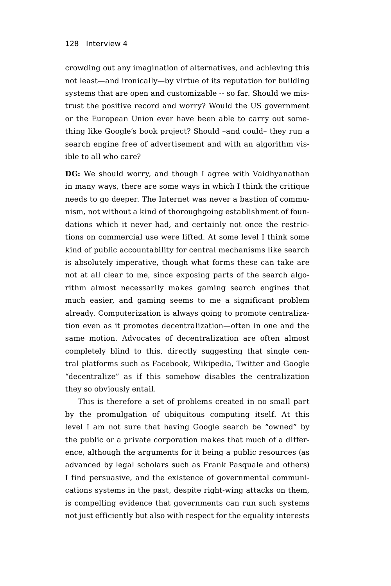crowding out any imagination of alternatives, and achieving this not least—and ironically—by virtue of its reputation for building systems that are open and customizable -- so far. Should we mistrust the positive record and worry? Would the US government or the European Union ever have been able to carry out something like Google's book project? Should –and could– they run a search engine free of advertisement and with an algorithm visible to all who care?

**DG:** We should worry, and though I agree with Vaidhyanathan in many ways, there are some ways in which I think the critique needs to go deeper. The Internet was never a bastion of communism, not without a kind of thoroughgoing establishment of foundations which it never had, and certainly not once the restrictions on commercial use were lifted. At some level I think some kind of public accountability for central mechanisms like search is absolutely imperative, though what forms these can take are not at all clear to me, since exposing parts of the search algorithm almost necessarily makes gaming search engines that much easier, and gaming seems to me a significant problem already. Computerization is always going to promote centralization even as it promotes decentralization—often in one and the same motion. Advocates of decentralization are often almost completely blind to this, directly suggesting that single central platforms such as Facebook, Wikipedia, Twitter and Google "decentralize" as if this somehow disables the centralization they so obviously entail.

This is therefore a set of problems created in no small part by the promulgation of ubiquitous computing itself. At this level I am not sure that having Google search be "owned" by the public or a private corporation makes that much of a difference, although the arguments for it being a public resources (as advanced by legal scholars such as Frank Pasquale and others) I find persuasive, and the existence of governmental communications systems in the past, despite right-wing attacks on them, is compelling evidence that governments can run such systems not just efficiently but also with respect for the equality interests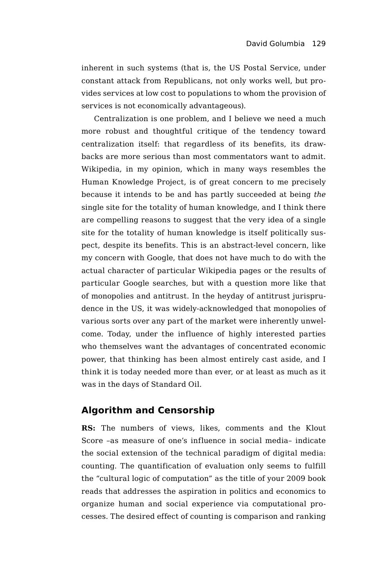inherent in such systems (that is, the US Postal Service, under constant attack from Republicans, not only works well, but provides services at low cost to populations to whom the provision of services is not economically advantageous).

Centralization is one problem, and I believe we need a much more robust and thoughtful critique of the tendency toward centralization itself: that regardless of its benefits, its drawbacks are more serious than most commentators want to admit. Wikipedia, in my opinion, which in many ways resembles the Human Knowledge Project, is of great concern to me precisely because it intends to be and has partly succeeded at being *the* single site for the totality of human knowledge, and I think there are compelling reasons to suggest that the very idea of a single site for the totality of human knowledge is itself politically suspect, despite its benefits. This is an abstract-level concern, like my concern with Google, that does not have much to do with the actual character of particular Wikipedia pages or the results of particular Google searches, but with a question more like that of monopolies and antitrust. In the heyday of antitrust jurisprudence in the US, it was widely-acknowledged that monopolies of various sorts over any part of the market were inherently unwelcome. Today, under the influence of highly interested parties who themselves want the advantages of concentrated economic power, that thinking has been almost entirely cast aside, and I think it is today needed more than ever, or at least as much as it was in the days of Standard Oil.

# **Algorithm and Censorship**

**RS:** The numbers of views, likes, comments and the Klout Score –as measure of one's influence in social media– indicate the social extension of the technical paradigm of digital media: counting. The quantification of evaluation only seems to fulfill the "cultural logic of computation" as the title of your 2009 book reads that addresses the aspiration in politics and economics to organize human and social experience via computational processes. The desired effect of counting is comparison and ranking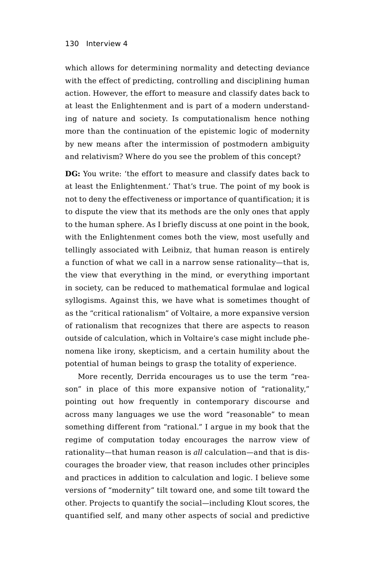which allows for determining normality and detecting deviance with the effect of predicting, controlling and disciplining human action. However, the effort to measure and classify dates back to at least the Enlightenment and is part of a modern understanding of nature and society. Is computationalism hence nothing more than the continuation of the epistemic logic of modernity by new means after the intermission of postmodern ambiguity and relativism? Where do you see the problem of this concept?

**DG:** You write: 'the effort to measure and classify dates back to at least the Enlightenment.' That's true. The point of my book is not to deny the effectiveness or importance of quantification; it is to dispute the view that its methods are the only ones that apply to the human sphere. As I briefly discuss at one point in the book, with the Enlightenment comes both the view, most usefully and tellingly associated with Leibniz, that human reason is entirely a function of what we call in a narrow sense rationality—that is, the view that everything in the mind, or everything important in society, can be reduced to mathematical formulae and logical syllogisms. Against this, we have what is sometimes thought of as the "critical rationalism" of Voltaire, a more expansive version of rationalism that recognizes that there are aspects to reason outside of calculation, which in Voltaire's case might include phenomena like irony, skepticism, and a certain humility about the potential of human beings to grasp the totality of experience.

More recently, Derrida encourages us to use the term "reason" in place of this more expansive notion of "rationality," pointing out how frequently in contemporary discourse and across many languages we use the word "reasonable" to mean something different from "rational." I argue in my book that the regime of computation today encourages the narrow view of rationality—that human reason is *all* calculation—and that is discourages the broader view, that reason includes other principles and practices in addition to calculation and logic. I believe some versions of "modernity" tilt toward one, and some tilt toward the other. Projects to quantify the social—including Klout scores, the quantified self, and many other aspects of social and predictive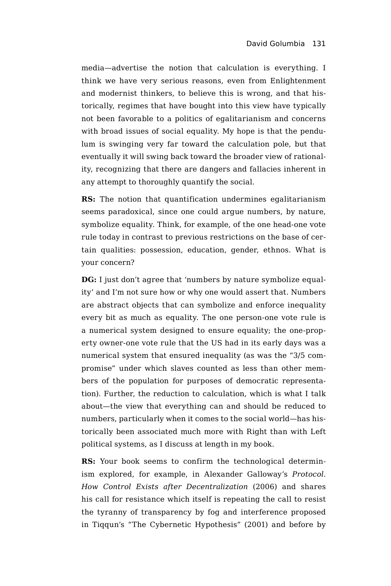media—advertise the notion that calculation is everything. I think we have very serious reasons, even from Enlightenment and modernist thinkers, to believe this is wrong, and that historically, regimes that have bought into this view have typically not been favorable to a politics of egalitarianism and concerns with broad issues of social equality. My hope is that the pendulum is swinging very far toward the calculation pole, but that eventually it will swing back toward the broader view of rationality, recognizing that there are dangers and fallacies inherent in any attempt to thoroughly quantify the social.

**RS:** The notion that quantification undermines egalitarianism seems paradoxical, since one could argue numbers, by nature, symbolize equality. Think, for example, of the one head-one vote rule today in contrast to previous restrictions on the base of certain qualities: possession, education, gender, ethnos. What is your concern?

**DG:** I just don't agree that 'numbers by nature symbolize equality' and I'm not sure how or why one would assert that. Numbers are abstract objects that can symbolize and enforce inequality every bit as much as equality. The one person-one vote rule is a numerical system designed to ensure equality; the one-property owner-one vote rule that the US had in its early days was a numerical system that ensured inequality (as was the "3/5 compromise" under which slaves counted as less than other members of the population for purposes of democratic representation). Further, the reduction to calculation, which is what I talk about—the view that everything can and should be reduced to numbers, particularly when it comes to the social world—has historically been associated much more with Right than with Left political systems, as I discuss at length in my book.

**RS:** Your book seems to confirm the technological determinism explored, for example, in Alexander Galloway's *Protocol. How Control Exists after Decentralization* (2006) and shares his call for resistance which itself is repeating the call to resist the tyranny of transparency by fog and interference proposed in Tiqqun's "The Cybernetic Hypothesis" (2001) and before by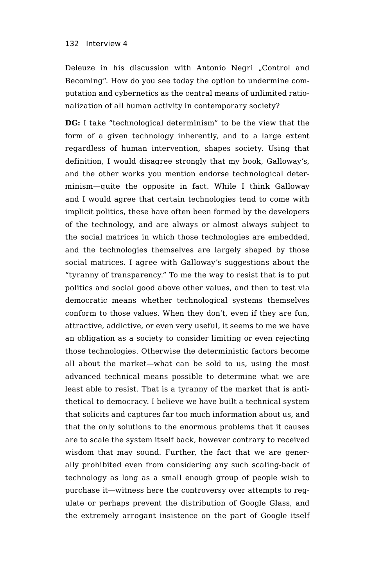Deleuze in his discussion with Antonio Negri "Control and Becoming". How do you see today the option to undermine computation and cybernetics as the central means of unlimited rationalization of all human activity in contemporary society?

**DG:** I take "technological determinism" to be the view that the form of a given technology inherently, and to a large extent regardless of human intervention, shapes society. Using that definition, I would disagree strongly that my book, Galloway's, and the other works you mention endorse technological determinism—quite the opposite in fact. While I think Galloway and I would agree that certain technologies tend to come with implicit politics, these have often been formed by the developers of the technology, and are always or almost always subject to the social matrices in which those technologies are embedded, and the technologies themselves are largely shaped by those social matrices. I agree with Galloway's suggestions about the "tyranny of transparency." To me the way to resist that is to put politics and social good above other values, and then to test via democratic means whether technological systems themselves conform to those values. When they don't, even if they are fun, attractive, addictive, or even very useful, it seems to me we have an obligation as a society to consider limiting or even rejecting those technologies. Otherwise the deterministic factors become all about the market—what can be sold to us, using the most advanced technical means possible to determine what we are least able to resist. That is a tyranny of the market that is antithetical to democracy. I believe we have built a technical system that solicits and captures far too much information about us, and that the only solutions to the enormous problems that it causes are to scale the system itself back, however contrary to received wisdom that may sound. Further, the fact that we are generally prohibited even from considering any such scaling-back of technology as long as a small enough group of people wish to purchase it—witness here the controversy over attempts to regulate or perhaps prevent the distribution of Google Glass, and the extremely arrogant insistence on the part of Google itself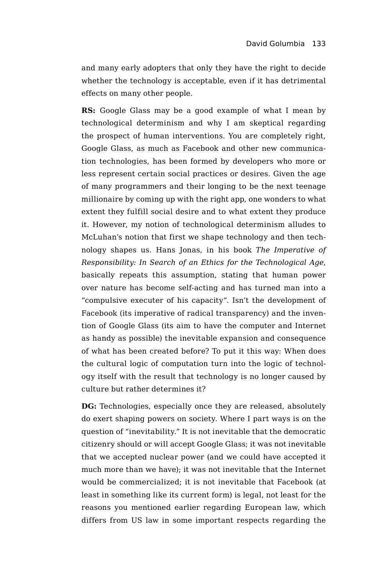and many early adopters that only they have the right to decide whether the technology is acceptable, even if it has detrimental effects on many other people.

**RS:** Google Glass may be a good example of what I mean by technological determinism and why I am skeptical regarding the prospect of human interventions. You are completely right, Google Glass, as much as Facebook and other new communication technologies, has been formed by developers who more or less represent certain social practices or desires. Given the age of many programmers and their longing to be the next teenage millionaire by coming up with the right app, one wonders to what extent they fulfill social desire and to what extent they produce it. However, my notion of technological determinism alludes to McLuhan's notion that first we shape technology and then technology shapes us. Hans Jonas, in his book *The Imperative of Responsibility: In Search of an Ethics for the Technological Age*, basically repeats this assumption, stating that human power over nature has become self-acting and has turned man into a "compulsive executer of his capacity". Isn't the development of Facebook (its imperative of radical transparency) and the invention of Google Glass (its aim to have the computer and Internet as handy as possible) the inevitable expansion and consequence of what has been created before? To put it this way: When does the cultural logic of computation turn into the logic of technology itself with the result that technology is no longer caused by culture but rather determines it?

**DG:** Technologies, especially once they are released, absolutely do exert shaping powers on society. Where I part ways is on the question of "inevitability." It is not inevitable that the democratic citizenry should or will accept Google Glass; it was not inevitable that we accepted nuclear power (and we could have accepted it much more than we have); it was not inevitable that the Internet would be commercialized; it is not inevitable that Facebook (at least in something like its current form) is legal, not least for the reasons you mentioned earlier regarding European law, which differs from US law in some important respects regarding the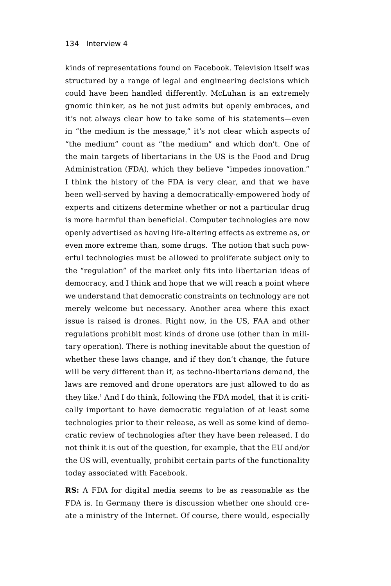kinds of representations found on Facebook. Television itself was structured by a range of legal and engineering decisions which could have been handled differently. McLuhan is an extremely gnomic thinker, as he not just admits but openly embraces, and it's not always clear how to take some of his statements—even in "the medium is the message," it's not clear which aspects of "the medium" count as "the medium" and which don't. One of the main targets of libertarians in the US is the Food and Drug Administration (FDA), which they believe "impedes innovation." I think the history of the FDA is very clear, and that we have been well-served by having a democratically-empowered body of experts and citizens determine whether or not a particular drug is more harmful than beneficial. Computer technologies are now openly advertised as having life-altering effects as extreme as, or even more extreme than, some drugs. The notion that such powerful technologies must be allowed to proliferate subject only to the "regulation" of the market only fits into libertarian ideas of democracy, and I think and hope that we will reach a point where we understand that democratic constraints on technology are not merely welcome but necessary. Another area where this exact issue is raised is drones. Right now, in the US, FAA and other regulations prohibit most kinds of drone use (other than in military operation). There is nothing inevitable about the question of whether these laws change, and if they don't change, the future will be very different than if, as techno-libertarians demand, the laws are removed and drone operators are just allowed to do as they like.1 And I do think, following the FDA model, that it is critically important to have democratic regulation of at least some technologies prior to their release, as well as some kind of democratic review of technologies after they have been released. I do not think it is out of the question, for example, that the EU and/or the US will, eventually, prohibit certain parts of the functionality today associated with Facebook.

**RS:** A FDA for digital media seems to be as reasonable as the FDA is. In Germany there is discussion whether one should create a ministry of the Internet. Of course, there would, especially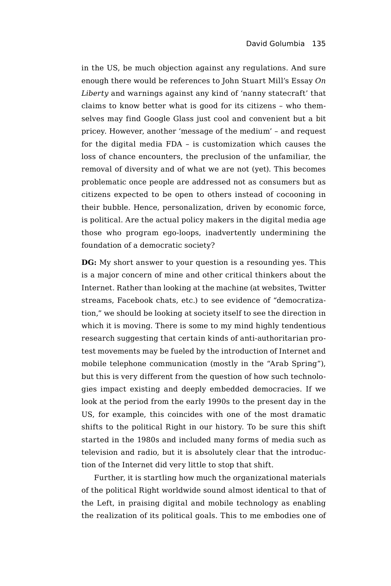in the US, be much objection against any regulations. And sure enough there would be references to John Stuart Mill's Essay *On Liberty* and warnings against any kind of 'nanny statecraft' that claims to know better what is good for its citizens – who themselves may find Google Glass just cool and convenient but a bit pricey. However, another 'message of the medium' – and request for the digital media FDA – is customization which causes the loss of chance encounters, the preclusion of the unfamiliar, the removal of diversity and of what we are not (yet). This becomes problematic once people are addressed not as consumers but as citizens expected to be open to others instead of cocooning in their bubble. Hence, personalization, driven by economic force, is political. Are the actual policy makers in the digital media age those who program ego-loops, inadvertently undermining the foundation of a democratic society?

**DG:** My short answer to your question is a resounding yes. This is a major concern of mine and other critical thinkers about the Internet. Rather than looking at the machine (at websites, Twitter streams, Facebook chats, etc.) to see evidence of "democratization," we should be looking at society itself to see the direction in which it is moving. There is some to my mind highly tendentious research suggesting that certain kinds of anti-authoritarian protest movements may be fueled by the introduction of Internet and mobile telephone communication (mostly in the "Arab Spring"), but this is very different from the question of how such technologies impact existing and deeply embedded democracies. If we look at the period from the early 1990s to the present day in the US, for example, this coincides with one of the most dramatic shifts to the political Right in our history. To be sure this shift started in the 1980s and included many forms of media such as television and radio, but it is absolutely clear that the introduction of the Internet did very little to stop that shift.

Further, it is startling how much the organizational materials of the political Right worldwide sound almost identical to that of the Left, in praising digital and mobile technology as enabling the realization of its political goals. This to me embodies one of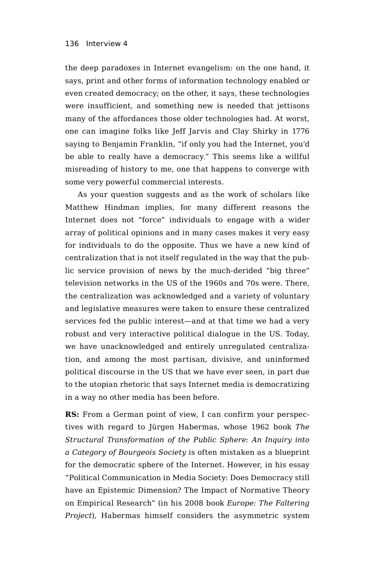the deep paradoxes in Internet evangelism: on the one hand, it says, print and other forms of information technology enabled or even created democracy; on the other, it says, these technologies were insufficient, and something new is needed that jettisons many of the affordances those older technologies had. At worst, one can imagine folks like Jeff Jarvis and Clay Shirky in 1776 saying to Benjamin Franklin, "if only you had the Internet, you'd be able to really have a democracy." This seems like a willful misreading of history to me, one that happens to converge with some very powerful commercial interests.

As your question suggests and as the work of scholars like Matthew Hindman implies, for many different reasons the Internet does not "force" individuals to engage with a wider array of political opinions and in many cases makes it very easy for individuals to do the opposite. Thus we have a new kind of centralization that is not itself regulated in the way that the public service provision of news by the much-derided "big three" television networks in the US of the 1960s and 70s were. There, the centralization was acknowledged and a variety of voluntary and legislative measures were taken to ensure these centralized services fed the public interest—and at that time we had a very robust and very interactive political dialogue in the US. Today, we have unacknowledged and entirely unregulated centralization, and among the most partisan, divisive, and uninformed political discourse in the US that we have ever seen, in part due to the utopian rhetoric that says Internet media is democratizing in a way no other media has been before.

**RS:** From a German point of view, I can confirm your perspectives with regard to Jürgen Habermas, whose 1962 book *The Structural Transformation of the Public Sphere: An Inquiry into a Category of Bourgeois Society* is often mistaken as a blueprint for the democratic sphere of the Internet. However, in his essay "Political Communication in Media Society: Does Democracy still have an Epistemic Dimension? The Impact of Normative Theory on Empirical Research" (in his 2008 book *Europe: The Faltering Project*), Habermas himself considers the asymmetric system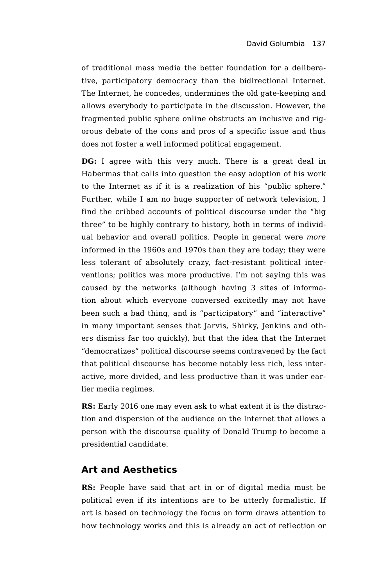of traditional mass media the better foundation for a deliberative, participatory democracy than the bidirectional Internet. The Internet, he concedes, undermines the old gate-keeping and allows everybody to participate in the discussion. However, the fragmented public sphere online obstructs an inclusive and rigorous debate of the cons and pros of a specific issue and thus does not foster a well informed political engagement.

**DG:** I agree with this very much. There is a great deal in Habermas that calls into question the easy adoption of his work to the Internet as if it is a realization of his "public sphere." Further, while I am no huge supporter of network television, I find the cribbed accounts of political discourse under the "big three" to be highly contrary to history, both in terms of individual behavior and overall politics. People in general were *more* informed in the 1960s and 1970s than they are today; they were less tolerant of absolutely crazy, fact-resistant political interventions; politics was more productive. I'm not saying this was caused by the networks (although having 3 sites of information about which everyone conversed excitedly may not have been such a bad thing, and is "participatory" and "interactive" in many important senses that Jarvis, Shirky, Jenkins and others dismiss far too quickly), but that the idea that the Internet "democratizes" political discourse seems contravened by the fact that political discourse has become notably less rich, less interactive, more divided, and less productive than it was under earlier media regimes.

**RS:** Early 2016 one may even ask to what extent it is the distraction and dispersion of the audience on the Internet that allows a person with the discourse quality of Donald Trump to become a presidential candidate.

# **Art and Aesthetics**

**RS:** People have said that art in or of digital media must be political even if its intentions are to be utterly formalistic. If art is based on technology the focus on form draws attention to how technology works and this is already an act of reflection or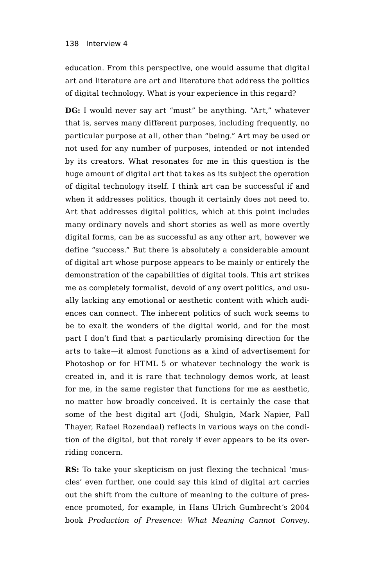education. From this perspective, one would assume that digital art and literature are art and literature that address the politics of digital technology. What is your experience in this regard?

**DG:** I would never say art "must" be anything. "Art," whatever that is, serves many different purposes, including frequently, no particular purpose at all, other than "being." Art may be used or not used for any number of purposes, intended or not intended by its creators. What resonates for me in this question is the huge amount of digital art that takes as its subject the operation of digital technology itself. I think art can be successful if and when it addresses politics, though it certainly does not need to. Art that addresses digital politics, which at this point includes many ordinary novels and short stories as well as more overtly digital forms, can be as successful as any other art, however we define "success." But there is absolutely a considerable amount of digital art whose purpose appears to be mainly or entirely the demonstration of the capabilities of digital tools. This art strikes me as completely formalist, devoid of any overt politics, and usually lacking any emotional or aesthetic content with which audiences can connect. The inherent politics of such work seems to be to exalt the wonders of the digital world, and for the most part I don't find that a particularly promising direction for the arts to take—it almost functions as a kind of advertisement for Photoshop or for HTML 5 or whatever technology the work is created in, and it is rare that technology demos work, at least for me, in the same register that functions for me as aesthetic, no matter how broadly conceived. It is certainly the case that some of the best digital art (Jodi, Shulgin, Mark Napier, Pall Thayer, Rafael Rozendaal) reflects in various ways on the condition of the digital, but that rarely if ever appears to be its overriding concern.

**RS:** To take your skepticism on just flexing the technical 'muscles' even further, one could say this kind of digital art carries out the shift from the culture of meaning to the culture of presence promoted, for example, in Hans Ulrich Gumbrecht's 2004 book *Production of Presence: What Meaning Cannot Convey*.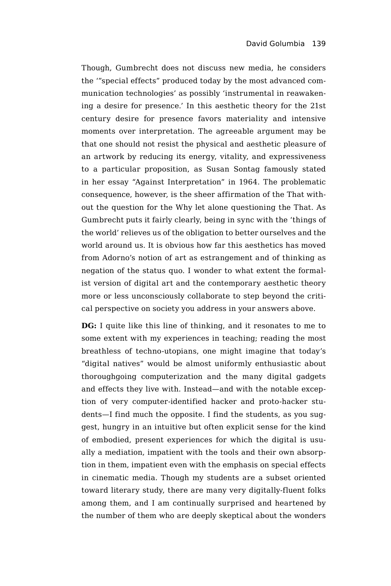Though, Gumbrecht does not discuss new media, he considers the '"special effects" produced today by the most advanced communication technologies' as possibly 'instrumental in reawakening a desire for presence.' In this aesthetic theory for the 21st century desire for presence favors materiality and intensive moments over interpretation. The agreeable argument may be that one should not resist the physical and aesthetic pleasure of an artwork by reducing its energy, vitality, and expressiveness to a particular proposition, as Susan Sontag famously stated in her essay "Against Interpretation" in 1964. The problematic consequence, however, is the sheer affirmation of the That without the question for the Why let alone questioning the That. As Gumbrecht puts it fairly clearly, being in sync with the 'things of the world' relieves us of the obligation to better ourselves and the world around us. It is obvious how far this aesthetics has moved from Adorno's notion of art as estrangement and of thinking as negation of the status quo. I wonder to what extent the formalist version of digital art and the contemporary aesthetic theory more or less unconsciously collaborate to step beyond the critical perspective on society you address in your answers above.

**DG:** I quite like this line of thinking, and it resonates to me to some extent with my experiences in teaching; reading the most breathless of techno-utopians, one might imagine that today's "digital natives" would be almost uniformly enthusiastic about thoroughgoing computerization and the many digital gadgets and effects they live with. Instead—and with the notable exception of very computer-identified hacker and proto-hacker students—I find much the opposite. I find the students, as you suggest, hungry in an intuitive but often explicit sense for the kind of embodied, present experiences for which the digital is usually a mediation, impatient with the tools and their own absorption in them, impatient even with the emphasis on special effects in cinematic media. Though my students are a subset oriented toward literary study, there are many very digitally-fluent folks among them, and I am continually surprised and heartened by the number of them who are deeply skeptical about the wonders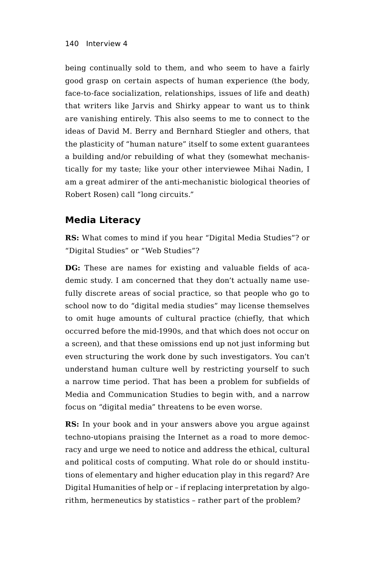being continually sold to them, and who seem to have a fairly good grasp on certain aspects of human experience (the body, face-to-face socialization, relationships, issues of life and death) that writers like Jarvis and Shirky appear to want us to think are vanishing entirely. This also seems to me to connect to the ideas of David M. Berry and Bernhard Stiegler and others, that the plasticity of "human nature" itself to some extent guarantees a building and/or rebuilding of what they (somewhat mechanistically for my taste; like your other interviewee Mihai Nadin, I am a great admirer of the anti-mechanistic biological theories of Robert Rosen) call "long circuits."

# **Media Literacy**

**RS:** What comes to mind if you hear "Digital Media Studies"? or "Digital Studies" or "Web Studies"?

**DG:** These are names for existing and valuable fields of academic study. I am concerned that they don't actually name usefully discrete areas of social practice, so that people who go to school now to do "digital media studies" may license themselves to omit huge amounts of cultural practice (chiefly, that which occurred before the mid-1990s, and that which does not occur on a screen), and that these omissions end up not just informing but even structuring the work done by such investigators. You can't understand human culture well by restricting yourself to such a narrow time period. That has been a problem for subfields of Media and Communication Studies to begin with, and a narrow focus on "digital media" threatens to be even worse.

**RS:** In your book and in your answers above you argue against techno-utopians praising the Internet as a road to more democracy and urge we need to notice and address the ethical, cultural and political costs of computing. What role do or should institutions of elementary and higher education play in this regard? Are Digital Humanities of help or – if replacing interpretation by algorithm, hermeneutics by statistics – rather part of the problem?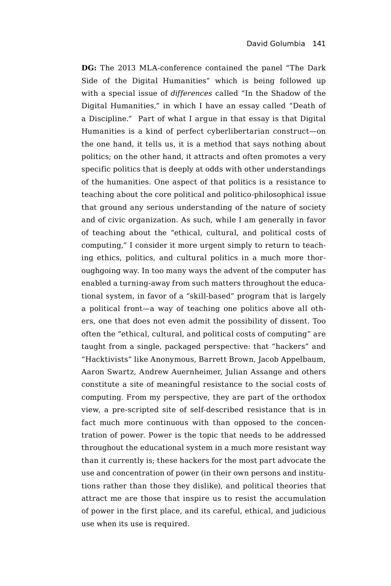**DG:** The 2013 MLA-conference contained the panel "The Dark Side of the Digital Humanities" which is being followed up with a special issue of *differences* called "In the Shadow of the Digital Humanities," in which I have an essay called "Death of a Discipline." Part of what I argue in that essay is that Digital Humanities is a kind of perfect cyberlibertarian construct—on the one hand, it tells us, it is a method that says nothing about politics; on the other hand, it attracts and often promotes a very specific politics that is deeply at odds with other understandings of the humanities. One aspect of that politics is a resistance to teaching about the core political and politico-philosophical issue that ground any serious understanding of the nature of society and of civic organization. As such, while I am generally in favor of teaching about the "ethical, cultural, and political costs of computing," I consider it more urgent simply to return to teaching ethics, politics, and cultural politics in a much more thoroughgoing way. In too many ways the advent of the computer has enabled a turning-away from such matters throughout the educational system, in favor of a "skill-based" program that is largely a political front—a way of teaching one politics above all others, one that does not even admit the possibility of dissent. Too often the "ethical, cultural, and political costs of computing" are taught from a single, packaged perspective: that "hackers" and "Hacktivists" like Anonymous, Barrett Brown, Jacob Appelbaum, Aaron Swartz, Andrew Auernheimer, Julian Assange and others constitute a site of meaningful resistance to the social costs of computing. From my perspective, they are part of the orthodox view, a pre-scripted site of self-described resistance that is in fact much more continuous with than opposed to the concentration of power. Power is the topic that needs to be addressed throughout the educational system in a much more resistant way than it currently is; these hackers for the most part advocate the use and concentration of power (in their own persons and institutions rather than those they dislike), and political theories that attract me are those that inspire us to resist the accumulation of power in the first place, and its careful, ethical, and judicious use when its use is required.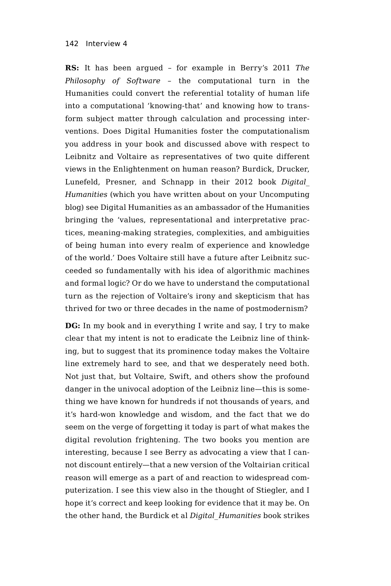**RS:** It has been argued – for example in Berry's 2011 *The Philosophy of Software* – the computational turn in the Humanities could convert the referential totality of human life into a computational 'knowing-that' and knowing how to transform subject matter through calculation and processing interventions. Does Digital Humanities foster the computationalism you address in your book and discussed above with respect to Leibnitz and Voltaire as representatives of two quite different views in the Enlightenment on human reason? Burdick, Drucker, Lunefeld, Presner, and Schnapp in their 2012 book *Digital\_ Humanities* (which you have written about on your Uncomputing blog) see Digital Humanities as an ambassador of the Humanities bringing the 'values, representational and interpretative practices, meaning-making strategies, complexities, and ambiguities of being human into every realm of experience and knowledge of the world.' Does Voltaire still have a future after Leibnitz succeeded so fundamentally with his idea of algorithmic machines and formal logic? Or do we have to understand the computational turn as the rejection of Voltaire's irony and skepticism that has thrived for two or three decades in the name of postmodernism?

**DG:** In my book and in everything I write and say, I try to make clear that my intent is not to eradicate the Leibniz line of thinking, but to suggest that its prominence today makes the Voltaire line extremely hard to see, and that we desperately need both. Not just that, but Voltaire, Swift, and others show the profound danger in the univocal adoption of the Leibniz line—this is something we have known for hundreds if not thousands of years, and it's hard-won knowledge and wisdom, and the fact that we do seem on the verge of forgetting it today is part of what makes the digital revolution frightening. The two books you mention are interesting, because I see Berry as advocating a view that I cannot discount entirely—that a new version of the Voltairian critical reason will emerge as a part of and reaction to widespread computerization. I see this view also in the thought of Stiegler, and I hope it's correct and keep looking for evidence that it may be. On the other hand, the Burdick et al *Digital\_Humanities* book strikes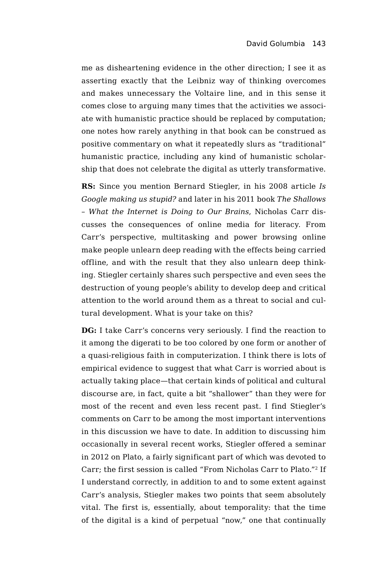me as disheartening evidence in the other direction; I see it as asserting exactly that the Leibniz way of thinking overcomes and makes unnecessary the Voltaire line, and in this sense it comes close to arguing many times that the activities we associate with humanistic practice should be replaced by computation; one notes how rarely anything in that book can be construed as positive commentary on what it repeatedly slurs as "traditional" humanistic practice, including any kind of humanistic scholarship that does not celebrate the digital as utterly transformative.

**RS:** Since you mention Bernard Stiegler, in his 2008 article *Is Google making us stupid?* and later in his 2011 book *The Shallows – What the Internet is Doing to Our Brains*, Nicholas Carr discusses the consequences of online media for literacy. From Carr's perspective, multitasking and power browsing online make people unlearn deep reading with the effects being carried offline, and with the result that they also unlearn deep thinking. Stiegler certainly shares such perspective and even sees the destruction of young people's ability to develop deep and critical attention to the world around them as a threat to social and cultural development. What is your take on this?

**DG:** I take Carr's concerns very seriously. I find the reaction to it among the digerati to be too colored by one form or another of a quasi-religious faith in computerization. I think there is lots of empirical evidence to suggest that what Carr is worried about is actually taking place—that certain kinds of political and cultural discourse are, in fact, quite a bit "shallower" than they were for most of the recent and even less recent past. I find Stiegler's comments on Carr to be among the most important interventions in this discussion we have to date. In addition to discussing him occasionally in several recent works, Stiegler offered a seminar in 2012 on Plato, a fairly significant part of which was devoted to Carr; the first session is called "From Nicholas Carr to Plato."2 If I understand correctly, in addition to and to some extent against Carr's analysis, Stiegler makes two points that seem absolutely vital. The first is, essentially, about temporality: that the time of the digital is a kind of perpetual "now," one that continually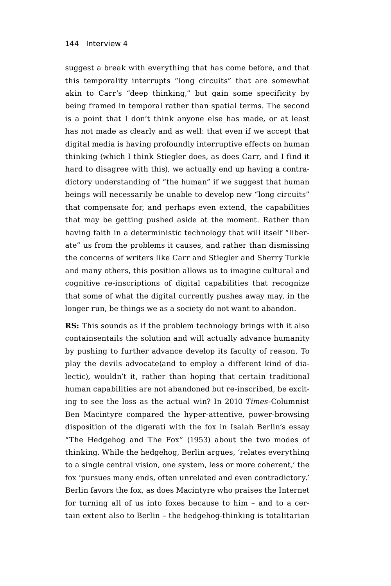suggest a break with everything that has come before, and that this temporality interrupts "long circuits" that are somewhat akin to Carr's "deep thinking," but gain some specificity by being framed in temporal rather than spatial terms. The second is a point that I don't think anyone else has made, or at least has not made as clearly and as well: that even if we accept that digital media is having profoundly interruptive effects on human thinking (which I think Stiegler does, as does Carr, and I find it hard to disagree with this), we actually end up having a contradictory understanding of "the human" if we suggest that human beings will necessarily be unable to develop new "long circuits" that compensate for, and perhaps even extend, the capabilities that may be getting pushed aside at the moment. Rather than having faith in a deterministic technology that will itself "liberate" us from the problems it causes, and rather than dismissing the concerns of writers like Carr and Stiegler and Sherry Turkle and many others, this position allows us to imagine cultural and cognitive re-inscriptions of digital capabilities that recognize that some of what the digital currently pushes away may, in the longer run, be things we as a society do not want to abandon.

**RS:** This sounds as if the problem technology brings with it also containsentails the solution and will actually advance humanity by pushing to further advance develop its faculty of reason. To play the devils advocate(and to employ a different kind of dialectic), wouldn't it, rather than hoping that certain traditional human capabilities are not abandoned but re-inscribed, be exciting to see the loss as the actual win? In 2010 *Times*-Columnist Ben Macintyre compared the hyper-attentive, power-browsing disposition of the digerati with the fox in Isaiah Berlin's essay "The Hedgehog and The Fox" (1953) about the two modes of thinking. While the hedgehog, Berlin argues, 'relates everything to a single central vision, one system, less or more coherent,' the fox 'pursues many ends, often unrelated and even contradictory.' Berlin favors the fox, as does Macintyre who praises the Internet for turning all of us into foxes because to him – and to a certain extent also to Berlin – the hedgehog-thinking is totalitarian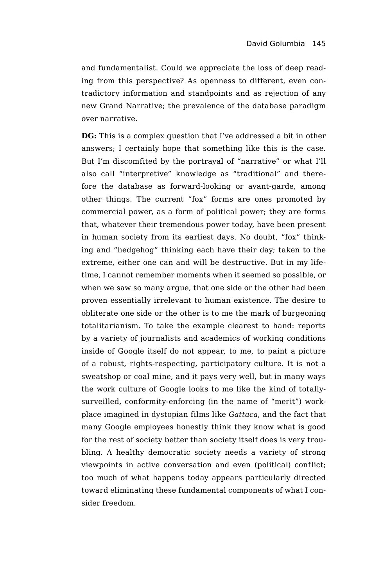and fundamentalist. Could we appreciate the loss of deep reading from this perspective? As openness to different, even contradictory information and standpoints and as rejection of any new Grand Narrative; the prevalence of the database paradigm over narrative.

**DG:** This is a complex question that I've addressed a bit in other answers; I certainly hope that something like this is the case. But I'm discomfited by the portrayal of "narrative" or what I'll also call "interpretive" knowledge as "traditional" and therefore the database as forward-looking or avant-garde, among other things. The current "fox" forms are ones promoted by commercial power, as a form of political power; they are forms that, whatever their tremendous power today, have been present in human society from its earliest days. No doubt, "fox" thinking and "hedgehog" thinking each have their day; taken to the extreme, either one can and will be destructive. But in my lifetime, I cannot remember moments when it seemed so possible, or when we saw so many argue, that one side or the other had been proven essentially irrelevant to human existence. The desire to obliterate one side or the other is to me the mark of burgeoning totalitarianism. To take the example clearest to hand: reports by a variety of journalists and academics of working conditions inside of Google itself do not appear, to me, to paint a picture of a robust, rights-respecting, participatory culture. It is not a sweatshop or coal mine, and it pays very well, but in many ways the work culture of Google looks to me like the kind of totallysurveilled, conformity-enforcing (in the name of "merit") workplace imagined in dystopian films like *Gattaca*, and the fact that many Google employees honestly think they know what is good for the rest of society better than society itself does is very troubling. A healthy democratic society needs a variety of strong viewpoints in active conversation and even (political) conflict; too much of what happens today appears particularly directed toward eliminating these fundamental components of what I consider freedom.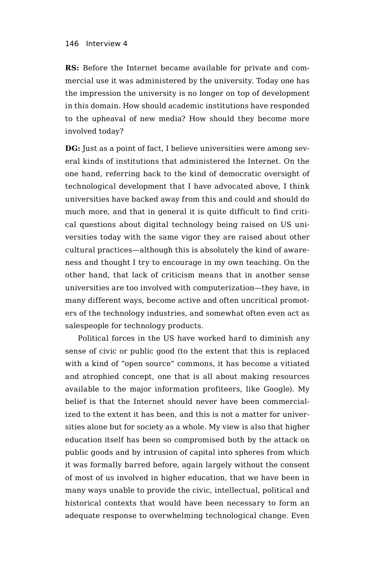**RS:** Before the Internet became available for private and commercial use it was administered by the university. Today one has the impression the university is no longer on top of development in this domain. How should academic institutions have responded to the upheaval of new media? How should they become more involved today?

**DG:** Just as a point of fact, I believe universities were among several kinds of institutions that administered the Internet. On the one hand, referring back to the kind of democratic oversight of technological development that I have advocated above, I think universities have backed away from this and could and should do much more, and that in general it is quite difficult to find critical questions about digital technology being raised on US universities today with the same vigor they are raised about other cultural practices—although this is absolutely the kind of awareness and thought I try to encourage in my own teaching. On the other hand, that lack of criticism means that in another sense universities are too involved with computerization—they have, in many different ways, become active and often uncritical promoters of the technology industries, and somewhat often even act as salespeople for technology products.

Political forces in the US have worked hard to diminish any sense of civic or public good (to the extent that this is replaced with a kind of "open source" commons, it has become a vitiated and atrophied concept, one that is all about making resources available to the major information profiteers, like Google). My belief is that the Internet should never have been commercialized to the extent it has been, and this is not a matter for universities alone but for society as a whole. My view is also that higher education itself has been so compromised both by the attack on public goods and by intrusion of capital into spheres from which it was formally barred before, again largely without the consent of most of us involved in higher education, that we have been in many ways unable to provide the civic, intellectual, political and historical contexts that would have been necessary to form an adequate response to overwhelming technological change. Even